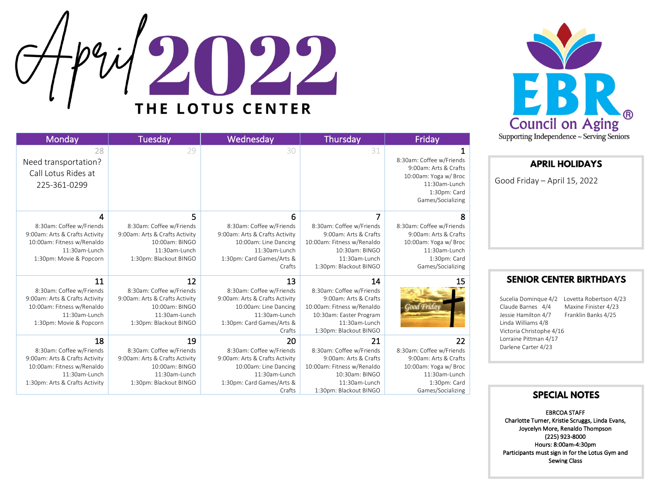

## 22 THE LOTUS CENTER

| Monday                         | Tuesday                        | Wednesday                      | Thursday                   | Friday                   |
|--------------------------------|--------------------------------|--------------------------------|----------------------------|--------------------------|
| 28                             | 29                             | 30                             | 31                         |                          |
| Need transportation?           |                                |                                |                            | 8:30am: Coffee w/Friends |
|                                |                                |                                |                            | 9:00am: Arts & Crafts    |
| Call Lotus Rides at            |                                |                                |                            | 10:00am: Yoga w/ Broc    |
| 225-361-0299                   |                                |                                |                            | 11:30am-Lunch            |
|                                |                                |                                |                            | 1:30pm: Card             |
|                                |                                |                                |                            | Games/Socializing        |
| 4                              | 5                              | 6                              | 7                          | 8                        |
| 8:30am: Coffee w/Friends       | 8:30am: Coffee w/Friends       | 8:30am: Coffee w/Friends       | 8:30am: Coffee w/Friends   | 8:30am: Coffee w/Friends |
| 9:00am: Arts & Crafts Activity | 9:00am: Arts & Crafts Activity | 9:00am: Arts & Crafts Activity | 9:00am: Arts & Crafts      | 9:00am: Arts & Crafts    |
| 10:00am: Fitness w/Renaldo     | 10:00am: BINGO                 | 10:00am: Line Dancing          | 10:00am: Fitness w/Renaldo | 10:00am: Yoga w/ Broc    |
| 11:30am-Lunch                  | 11:30am-Lunch                  | 11:30am-Lunch                  | 10:30am: BINGO             | 11:30am-Lunch            |
| 1:30pm: Movie & Popcorn        | 1:30pm: Blackout BINGO         | 1:30pm: Card Games/Arts &      | 11:30am-Lunch              | 1:30pm: Card             |
|                                |                                | Crafts                         | 1:30pm: Blackout BINGO     | Games/Socializing        |
| 11                             | 12                             | 13                             | 14                         | 15                       |
| 8:30am: Coffee w/Friends       | 8:30am: Coffee w/Friends       | 8:30am: Coffee w/Friends       | 8:30am: Coffee w/Friends   |                          |
| 9:00am: Arts & Crafts Activity | 9:00am: Arts & Crafts Activity | 9:00am: Arts & Crafts Activity | 9:00am: Arts & Crafts      |                          |
| 10:00am: Fitness w/Renaldo     | 10:00am: BINGO                 | 10:00am: Line Dancing          | 10:00am: Fitness w/Renaldo | Good Friday              |
| 11:30am-Lunch                  | 11:30am-Lunch                  | 11:30am-Lunch                  | 10:30am: Easter Program    |                          |
| 1:30pm: Movie & Popcorn        | 1:30pm: Blackout BINGO         | 1:30pm: Card Games/Arts &      | 11:30am-Lunch              |                          |
|                                |                                | Crafts                         | 1:30pm: Blackout BINGO     |                          |
| 18                             | 19                             | 20                             | 21                         | 22                       |
| 8:30am: Coffee w/Friends       | 8:30am: Coffee w/Friends       | 8:30am: Coffee w/Friends       | 8:30am: Coffee w/Friends   | 8:30am: Coffee w/Friends |
| 9:00am: Arts & Crafts Activity | 9:00am: Arts & Crafts Activity | 9:00am: Arts & Crafts Activity | 9:00am: Arts & Crafts      | 9:00am: Arts & Crafts    |
| 10:00am: Fitness w/Renaldo     | 10:00am: BINGO                 | 10:00am: Line Dancing          | 10:00am: Fitness w/Renaldo | 10:00am: Yoga w/ Broc    |
| 11:30am-Lunch                  | 11:30am-Lunch                  | $11:30$ am-Lunch               | 10:30am: BINGO             | 11:30am-Lunch            |
| 1:30pm: Arts & Crafts Activity | 1:30pm: Blackout BINGO         | 1:30pm: Card Games/Arts &      | 11:30am-Lunch              | 1:30pm: Card             |
|                                |                                | Crafts                         | 1:30pm: Blackout BINGO     | Games/Socializing        |

## **APRIL HOLIDAYS**

Good Friday – April 15, 2022

## **SENIOR CENTER BIRTHDAYS**

Sucelia Dominque 4/2 Lovetta Robertson 4/23 Claude Barnes 4/4 Maxine Finister 4/23 Jessie Hamilton 4/7 Franklin Banks 4/25 Linda Williams 4/8 Victoria Christophe 4/16 Lorraine Pittman 4/17 Darlene Carter 4/23

## **SPECIAL NOTES**

EBRCOA STAFF Charlotte Turner, Kristie Scruggs, Linda Evans, Joycelyn More, Renaldo Thompson (225) 923-8000 Hours: 8:00am-4:30pm Participants must sign in for the Lotus Gym and Sewing Class